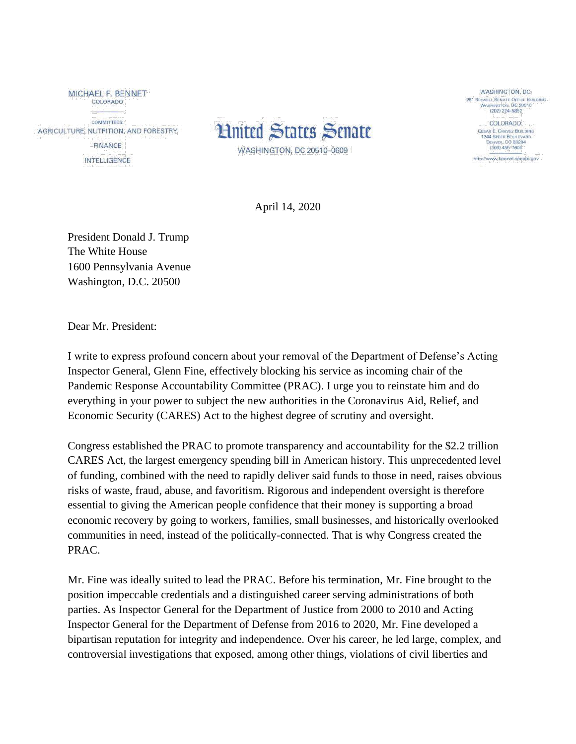MICHAEL F. BENNET COLORADO

**COMMITTEES:** AGRICULTURE, NUTRITION, AND FORESTRY

> FINANCE **INTELLIGENCE**



WASHINGTON, DC: 261 RUSSELL SENATE OFFICE BUILDING<br>WASHINGTON, DC 20510 (202) 224-5852

> COLORADO: **CESAR E. CHAVEZ BUILDING** 244 SPEER BOULEVAL 1244 SPEER BO

http://www.bennet.senate.gov

April 14, 2020

President Donald J. Trump The White House 1600 Pennsylvania Avenue Washington, D.C. 20500

Dear Mr. President:

I write to express profound concern about your removal of the Department of Defense's Acting Inspector General, Glenn Fine, effectively blocking his service as incoming chair of the Pandemic Response Accountability Committee (PRAC). I urge you to reinstate him and do everything in your power to subject the new authorities in the Coronavirus Aid, Relief, and Economic Security (CARES) Act to the highest degree of scrutiny and oversight.

Congress established the PRAC to promote transparency and accountability for the \$2.2 trillion CARES Act, the largest emergency spending bill in American history. This unprecedented level of funding, combined with the need to rapidly deliver said funds to those in need, raises obvious risks of waste, fraud, abuse, and favoritism. Rigorous and independent oversight is therefore essential to giving the American people confidence that their money is supporting a broad economic recovery by going to workers, families, small businesses, and historically overlooked communities in need, instead of the politically-connected. That is why Congress created the PRAC.

Mr. Fine was ideally suited to lead the PRAC. Before his termination, Mr. Fine brought to the position impeccable credentials and a distinguished career serving administrations of both parties. As Inspector General for the Department of Justice from 2000 to 2010 and Acting Inspector General for the Department of Defense from 2016 to 2020, Mr. Fine developed a bipartisan reputation for integrity and independence. Over his career, he led large, complex, and controversial investigations that exposed, among other things, violations of civil liberties and